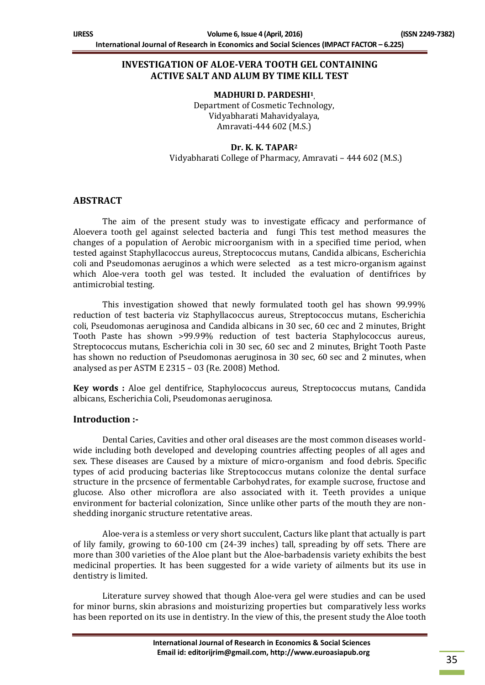# **INVESTIGATION OF ALOE-VERA TOOTH GEL CONTAINING ACTIVE SALT AND ALUM BY TIME KILL TEST**

#### **MADHURI D. PARDESHI<sup>1</sup> ,**

Department of Cosmetic Technology, Vidyabharati Mahavidyalaya, Amravati-444 602 (M.S.)

#### **Dr. K. K. TAPAR<sup>2</sup>**

Vidyabharati College of Pharmacy, Amravati – 444 602 (M.S.)

## **ABSTRACT**

The aim of the present study was to investigate efficacy and performance of Aloevera tooth gel against selected bacteria and fungi This test method measures the changes of a population of Aerobic microorganism with in a specified time period, when tested against Staphyllacoccus aureus, Streptococcus mutans, Candida albicans, Escherichia coli and Pseudomonas aeruginos a which were selected as a test micro-organism against which Aloe-vera tooth gel was tested. It included the evaluation of dentifrices by antimicrobial testing.

This investigation showed that newly formulated tooth gel has shown 99.99% reduction of test bacteria viz Staphyllacoccus aureus, Streptococcus mutans, Escherichia coli, Pseudomonas aeruginosa and Candida albicans in 30 sec, 60 cec and 2 minutes, Bright Tooth Paste has shown >99.99% reduction of test bacteria Staphylococcus aureus, Streptococcus mutans, Escherichia coli in 30 sec, 60 sec and 2 minutes, Bright Tooth Paste has shown no reduction of Pseudomonas aeruginosa in 30 sec, 60 sec and 2 minutes, when analysed as per ASTM E 2315 – 03 (Re. 2008) Method.

**Key words :** Aloe gel dentifrice, Staphylococcus aureus, Streptococcus mutans, Candida albicans, Escherichia Coli, Pseudomonas aeruginosa.

## **Introduction :-**

Dental Caries, Cavities and other oral diseases are the most common diseases worldwide including both developed and developing countries affecting peoples of all ages and sex. These diseases are Caused by a mixture of micro-organism and food debris. Specific types of acid producing bacterias like Streptococcus mutans colonize the dental surface structure in the prcsence of fermentable Carbohydrates, for example sucrose, fructose and glucose. Also other microflora are also associated with it. Teeth provides a unique environment for bacterial colonization, Since unlike other parts of the mouth they are nonshedding inorganic structure retentative areas.

Aloe-vera is a stemless or very short succulent, Cacturs like plant that actually is part of lily family, growing to 60-100 cm (24-39 inches) tall, spreading by off sets. There are more than 300 varieties of the Aloe plant but the Aloe-barbadensis variety exhibits the best medicinal properties. It has been suggested for a wide variety of ailments but its use in dentistry is limited.

Literature survey showed that though Aloe-vera gel were studies and can be used for minor burns, skin abrasions and moisturizing properties but comparatively less works has been reported on its use in dentistry. In the view of this, the present study the Aloe tooth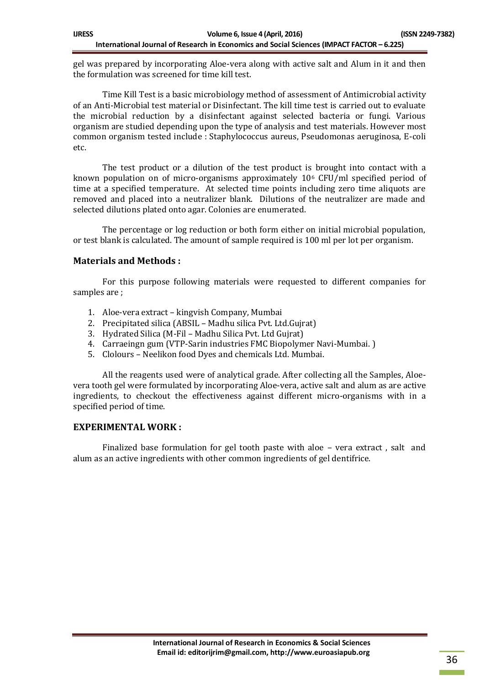gel was prepared by incorporating Aloe-vera along with active salt and Alum in it and then the formulation was screened for time kill test.

Time Kill Test is a basic microbiology method of assessment of Antimicrobial activity of an Anti-Microbial test material or Disinfectant. The kill time test is carried out to evaluate the microbial reduction by a disinfectant against selected bacteria or fungi. Various organism are studied depending upon the type of analysis and test materials. However most common organism tested include : Staphylococcus aureus, Pseudomonas aeruginosa, E-coli etc.

The test product or a dilution of the test product is brought into contact with a known population on of micro-organisms approximately 10<sup>6</sup> CFU/ml specified period of time at a specified temperature. At selected time points including zero time aliquots are removed and placed into a neutralizer blank. Dilutions of the neutralizer are made and selected dilutions plated onto agar. Colonies are enumerated.

The percentage or log reduction or both form either on initial microbial population, or test blank is calculated. The amount of sample required is 100 ml per lot per organism.

#### **Materials and Methods :**

For this purpose following materials were requested to different companies for samples are ;

- 1. Aloe-vera extract kingvish Company, Mumbai
- 2. Precipitated silica (ABSIL Madhu silica Pvt. Ltd.Gujrat)
- 3. Hydrated Silica (M-Fil Madhu Silica Pvt. Ltd Gujrat)
- 4. Carraeingn gum (VTP-Sarin industries FMC Biopolymer Navi-Mumbai. )
- 5. Clolours Neelikon food Dyes and chemicals Ltd. Mumbai.

All the reagents used were of analytical grade. After collecting all the Samples, Aloevera tooth gel were formulated by incorporating Aloe-vera, active salt and alum as are active ingredients, to checkout the effectiveness against different micro-organisms with in a specified period of time.

## **EXPERIMENTAL WORK :**

Finalized base formulation for gel tooth paste with aloe – vera extract , salt and alum as an active ingredients with other common ingredients of gel dentifrice.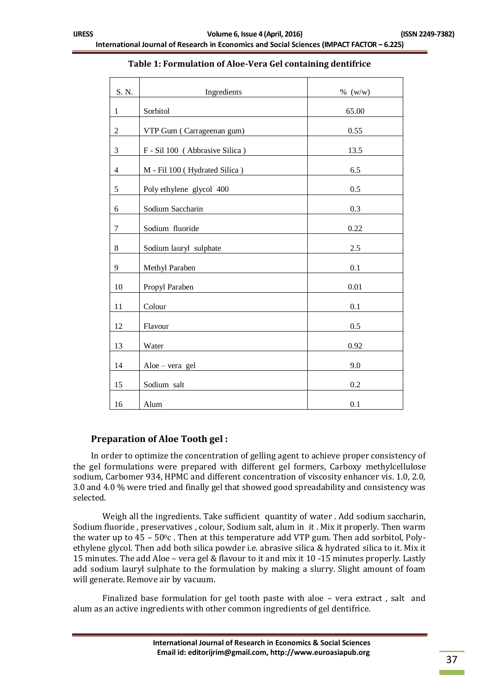| S. N.          | Ingredients                    | % (w/w) |
|----------------|--------------------------------|---------|
| 1              | Sorbitol                       | 65.00   |
| 2              | VTP Gum (Carrageenan gum)      | 0.55    |
| 3              | F - Sil 100 (Abbrasive Silica) | 13.5    |
| $\overline{4}$ | M - Fil 100 (Hydrated Silica)  | 6.5     |
| 5              | Poly ethylene glycol 400       | 0.5     |
| 6              | Sodium Saccharin               | 0.3     |
| 7              | Sodium fluoride                | 0.22    |
| 8              | Sodium lauryl sulphate         | 2.5     |
| 9              | Methyl Paraben                 | 0.1     |
| 10             | Propyl Paraben                 | 0.01    |
| 11             | Colour                         | 0.1     |
| 12             | Flavour                        | 0.5     |
| 13             | Water                          | 0.92    |
| 14             | Aloe - vera gel                | 9.0     |
| 15             | Sodium salt                    | 0.2     |
| 16             | Alum                           | 0.1     |

## **Table 1: Formulation of Aloe-Vera Gel containing dentifrice**

## **Preparation of Aloe Tooth gel :**

In order to optimize the concentration of gelling agent to achieve proper consistency of the gel formulations were prepared with different gel formers, Carboxy methylcellulose sodium, Carbomer 934, HPMC and different concentration of viscosity enhancer vis. 1.0, 2.0, 3.0 and 4.0 % were tried and finally gel that showed good spreadability and consistency was selected.

Weigh all the ingredients. Take sufficient quantity of water . Add sodium saccharin, Sodium fluoride , preservatives , colour, Sodium salt, alum in it . Mix it properly. Then warm the water up to  $45 - 50^{\circ}$ . Then at this temperature add VTP gum. Then add sorbitol, Polyethylene glycol. Then add both silica powder i.e. abrasive silica & hydrated silica to it. Mix it 15 minutes. The add Aloe – vera gel & flavour to it and mix it 10 -15 minutes properly. Lastly add sodium lauryl sulphate to the formulation by making a slurry. Slight amount of foam will generate. Remove air by vacuum.

Finalized base formulation for gel tooth paste with aloe – vera extract , salt and alum as an active ingredients with other common ingredients of gel dentifrice.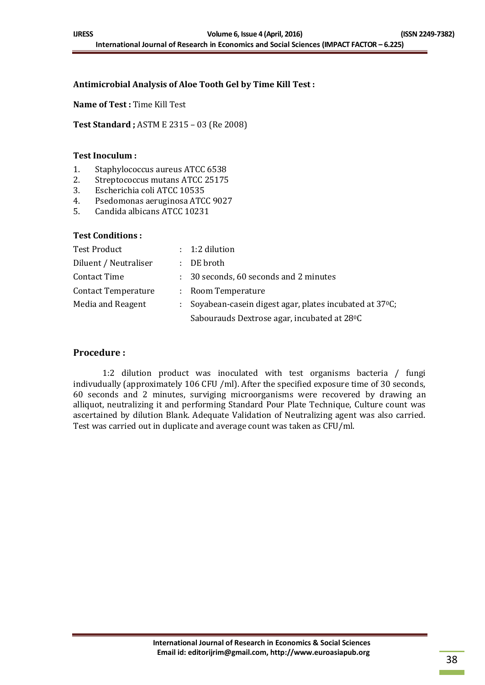# **Antimicrobial Analysis of Aloe Tooth Gel by Time Kill Test :**

**Name of Test :** Time Kill Test

**Test Standard ;** ASTM E 2315 – 03 (Re 2008)

#### **Test Inoculum :**

- 1. Staphylococcus aureus ATCC 6538
- 2. Streptococcus mutans ATCC 25175
- 3. Escherichia coli ATCC 10535
- 4. Psedomonas aeruginosa ATCC 9027
- 5. Candida albicans ATCC 10231

#### **Test Conditions :**

| <b>Test Product</b>        |               | $: 1:2$ dilution                                                                       |
|----------------------------|---------------|----------------------------------------------------------------------------------------|
| Diluent / Neutraliser      |               | $\therefore$ DE broth                                                                  |
| <b>Contact Time</b>        | $\mathcal{L}$ | 30 seconds, 60 seconds and 2 minutes                                                   |
| <b>Contact Temperature</b> | ÷.            | Room Temperature                                                                       |
| Media and Reagent          |               | Soyabean-casein digest agar, plates incubated at 37 °C;<br>$\mathcal{L}^{\mathcal{L}}$ |
|                            |               | Sabourauds Dextrose agar, incubated at 28°C                                            |

# **Procedure :**

1:2 dilution product was inoculated with test organisms bacteria / fungi indivudually (approximately 106 CFU /ml). After the specified exposure time of 30 seconds, 60 seconds and 2 minutes, surviging microorganisms were recovered by drawing an alliquot, neutralizing it and performing Standard Pour Plate Technique, Culture count was ascertained by dilution Blank. Adequate Validation of Neutralizing agent was also carried. Test was carried out in duplicate and average count was taken as CFU/ml.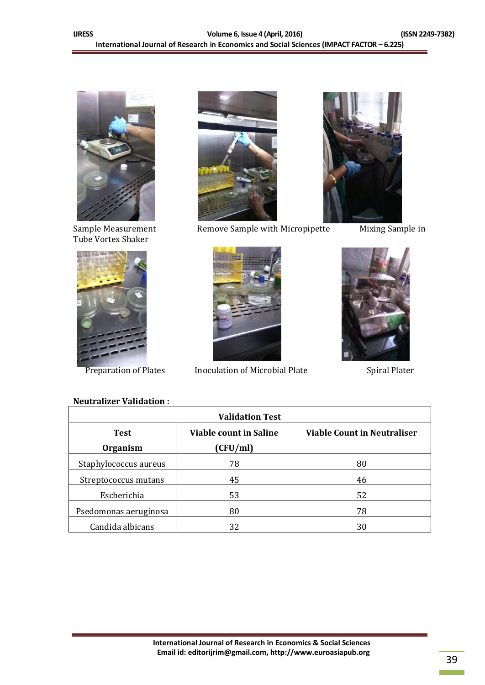

Tube Vortex Shaker





Sample Measurement Remove Sample with Micropipette Mixing Sample in



Preparation of Plates Inoculation of Microbial Plate Spiral Plater





# **Neutralizer Validation :**

| <b>Validation Test</b> |                               |                                    |  |  |
|------------------------|-------------------------------|------------------------------------|--|--|
| <b>Test</b>            | <b>Viable count in Saline</b> | <b>Viable Count in Neutraliser</b> |  |  |
| <b>Organism</b>        | (CFU/ml)                      |                                    |  |  |
| Staphylococcus aureus  | 78                            | 80                                 |  |  |
| Streptococcus mutans   | 45                            | 46                                 |  |  |
| Escherichia            | 53                            | 52                                 |  |  |
| Psedomonas aeruginosa  | 80                            | 78                                 |  |  |
| Candida albicans       | 32                            | 30                                 |  |  |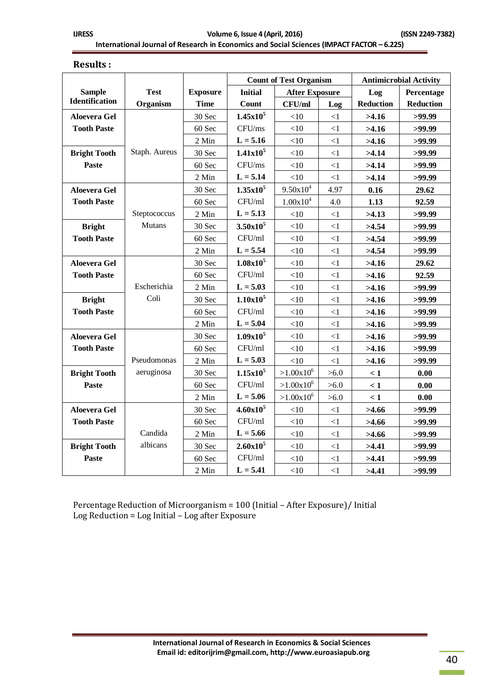| <b>IJRESS</b> | Volume 6, Issue 4 (April, 2016)                                                            | (ISSN 2249-7382) |
|---------------|--------------------------------------------------------------------------------------------|------------------|
|               | International Journal of Research in Economics and Social Sciences (IMPACT FACTOR – 6.225) |                  |

**Results :**

|                       |               |                 | <b>Count of Test Organism</b> |                       |          | <b>Antimicrobial Activity</b> |                  |
|-----------------------|---------------|-----------------|-------------------------------|-----------------------|----------|-------------------------------|------------------|
| <b>Sample</b>         | <b>Test</b>   | <b>Exposure</b> | <b>Initial</b>                | <b>After Exposure</b> |          | Log                           | Percentage       |
| <b>Identification</b> | Organism      | <b>Time</b>     | Count                         | CFU/ml                | Log      | <b>Reduction</b>              | <b>Reduction</b> |
| <b>Aloevera Gel</b>   |               | 30 Sec          | $1.45x10^5$                   | <10                   | $\leq$ 1 | >4.16                         | >99.99           |
| <b>Tooth Paste</b>    |               | 60 Sec          | CFU/ms                        | $<\!\!10$             | <1       | >4.16                         | >99.99           |
|                       |               | 2 Min           | $L = 5.16$                    | <10                   | $<$ 1    | >4.16                         | >99.99           |
| <b>Bright Tooth</b>   | Staph. Aureus | 30 Sec          | $1.41x10^5$                   | $<$ 10                | $\leq$ 1 | >4.14                         | >99.99           |
| Paste                 |               | 60 Sec          | CFU/ms                        | <10                   | $\leq$ 1 | >4.14                         | >99.99           |
|                       |               | 2 Min           | $L = 5.14$                    | $<\!\!10$             | $\leq$ 1 | >4.14                         | >99.99           |
| <b>Aloevera Gel</b>   |               | 30 Sec          | $1.35x10^5$                   | $9.50x10^{4}$         | 4.97     | 0.16                          | 29.62            |
| <b>Tooth Paste</b>    |               | 60 Sec          | CFU/ml                        | $1.00x10^4$           | 4.0      | 1.13                          | 92.59            |
|                       | Steptococcus  | 2 Min           | $L = 5.13$                    | $<$ 10                | $<1\,$   | >4.13                         | >99.99           |
| <b>Bright</b>         | Mutans        | 30 Sec          | $3.50x10^5$                   | $<$ 10                | $\leq$ 1 | >4.54                         | >99.99           |
| <b>Tooth Paste</b>    |               | 60 Sec          | CFU/ml                        | $<$ 10                | $\leq$ 1 | >4.54                         | >99.99           |
|                       |               | 2 Min           | $L = 5.54$                    | $<$ 10                | $\leq$ 1 | >4.54                         | >99.99           |
| <b>Aloevera Gel</b>   |               | 30 Sec          | $1.08x10^5$                   | $<\!\!10$             | $\leq$ 1 | >4.16                         | 29.62            |
| <b>Tooth Paste</b>    |               | 60 Sec          | CFU/ml                        | <10                   | <1       | >4.16                         | 92.59            |
|                       | Escherichia   | 2 Min           | $L = 5.03$                    | $<$ 10                | $\leq$ 1 | >4.16                         | >99.99           |
| <b>Bright</b>         | Coli          | 30 Sec          | $1.10x10^5$                   | $<$ 10                | $\leq$ 1 | >4.16                         | >99.99           |
| <b>Tooth Paste</b>    |               | 60 Sec          | CFU/ml                        | $<\!\!10$             | $\leq$ 1 | >4.16                         | >99.99           |
|                       |               | 2 Min           | $L = 5.04$                    | $<\!\!10$             | $\leq$ 1 | >4.16                         | >99.99           |
| <b>Aloevera Gel</b>   |               | 30 Sec          | $1.09x10^5$                   | $<\!\!10$             | $<1\,$   | >4.16                         | >99.99           |
| <b>Tooth Paste</b>    |               | 60 Sec          | CFU/ml                        | $<$ 10                | $<$ 1    | >4.16                         | >99.99           |
|                       | Pseudomonas   | 2 Min           | $L = 5.03$                    | $<\!\!10$             | $<1\,$   | >4.16                         | >99.99           |
| <b>Bright Tooth</b>   | aeruginosa    | 30 Sec          | $1.15x10^5$                   | $>1.00x10^6$          | > 6.0    | $\leq 1$                      | 0.00             |
| Paste                 |               | 60 Sec          | CFU/ml                        | $>1.00x10^{6}$        | >6.0     | $\leq 1$                      | 0.00             |
|                       |               | 2 Min           | $L = 5.06$                    | $>1.00x10^6$          | >6.0     | $\leq 1$                      | 0.00             |
| <b>Aloevera Gel</b>   |               | 30 Sec          | $4.60x10^5$                   | <10                   | <1       | >4.66                         | >99.99           |
| <b>Tooth Paste</b>    |               | 60 Sec          | CFU/ml                        | $<$ 10                | $\leq$ 1 | >4.66                         | >99.99           |
|                       | Candida       | 2 Min           | $L = 5.66$                    | <10                   | $\leq$ 1 | >4.66                         | >99.99           |
| <b>Bright Tooth</b>   | albicans      | 30 Sec          | $2.60x10^5$                   | $<\!\!10$             | <1       | >4.41                         | >99.99           |
| <b>Paste</b>          |               | 60 Sec          | CFU/ml                        | $<$ 10                | $<$ 1    | >4.41                         | >99.99           |
|                       |               | 2 Min           | $L = 5.41$                    | $<$ 10                | <1       | >4.41                         | >99.99           |

Percentage Reduction of Microorganism = 100 (Initial – After Exposure)/ Initial Log Reduction = Log Initial – Log after Exposure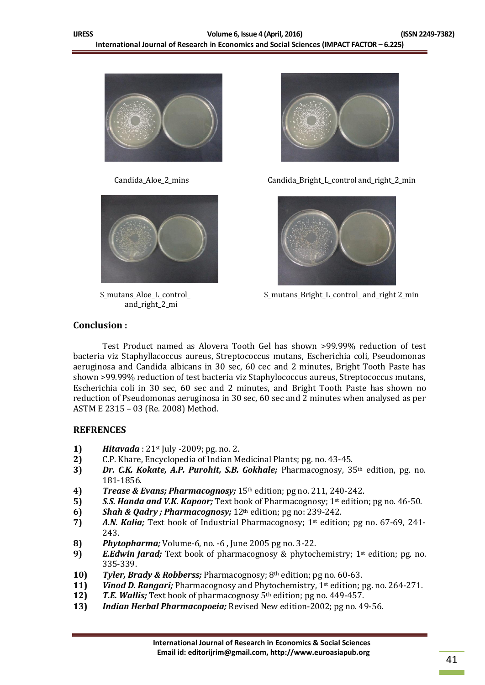



and\_right\_2\_mi



Candida\_Aloe\_2\_mins Candida\_Bright\_L\_control and\_right\_2\_min



S\_mutans\_Aloe\_L\_control\_ S\_mutans\_Bright\_L\_control\_ and\_right 2\_min

# **Conclusion :**

Test Product named as Alovera Tooth Gel has shown >99.99% reduction of test bacteria viz Staphyllacoccus aureus, Streptococcus mutans, Escherichia coli, Pseudomonas aeruginosa and Candida albicans in 30 sec, 60 cec and 2 minutes, Bright Tooth Paste has shown >99.99% reduction of test bacteria viz Staphylococcus aureus, Streptococcus mutans, Escherichia coli in 30 sec, 60 sec and 2 minutes, and Bright Tooth Paste has shown no reduction of Pseudomonas aeruginosa in 30 sec, 60 sec and 2 minutes when analysed as per ASTM E 2315 – 03 (Re. 2008) Method.

# **REFRENCES**

- **1)** *Hitavada* : 21st July -2009; pg. no. 2.
- **2)** C.P. Khare, Encyclopedia of Indian Medicinal Plants; pg. no. 43-45.
- **3)** *Dr. C.K. Kokate, A.P. Purohit, S.B. Gokhale; Pharmacognosy, 35<sup>th</sup> edition, pg. no.* 181-1856.
- **4)** *Trease & Evans; Pharmacognosy;* 15th edition; pg no. 211, 240-242.
- **5) S.S. Handa and V.K. Kapoor;** Text book of Pharmacognosy; 1<sup>st</sup> edition; pg no. 46-50.
- **6)** *Shah & Qadry ; Pharmacognosy;* 12th edition; pg no: 239-242.
- **7)** *A.N. Kalia;* Text book of Industrial Pharmacognosy; 1st edition; pg no. 67-69, 241- 243.
- **8)** *Phytopharma;* Volume-6, no. -6 , June 2005 pg no. 3-22.
- **9)** *E.Edwin Jarad;* Text book of pharmacognosy & phytochemistry; 1st edition; pg. no. 335-339.
- **10)** *Tyler, Brady & Robberss;* Pharmacognosy; 8<sup>th</sup> edition; pg no. 60-63.
- **11)** *Vinod D. Rangari;* Pharmacognosy and Phytochemistry, 1st edition; pg. no. 264-271.
- **12)** *T.E. Wallis;* Text book of pharmacognosy 5th edition; pg no. 449-457.
- **13)** *Indian Herbal Pharmacopoeia;* Revised New edition-2002; pg no. 49-56.